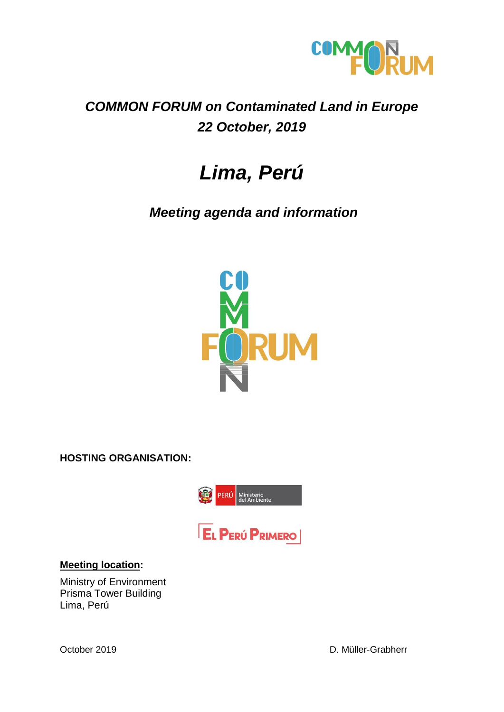

#### *COMMON FORUM on Contaminated Land in Europe 22 October, 2019*

### *Lima, Perú*

*Meeting agenda and information*



**HOSTING ORGANISATION:**



#### **Meeting location:**

Ministry of Environment Prisma Tower Building Lima, Perú

October 2019 **D. Müller-Grabherr**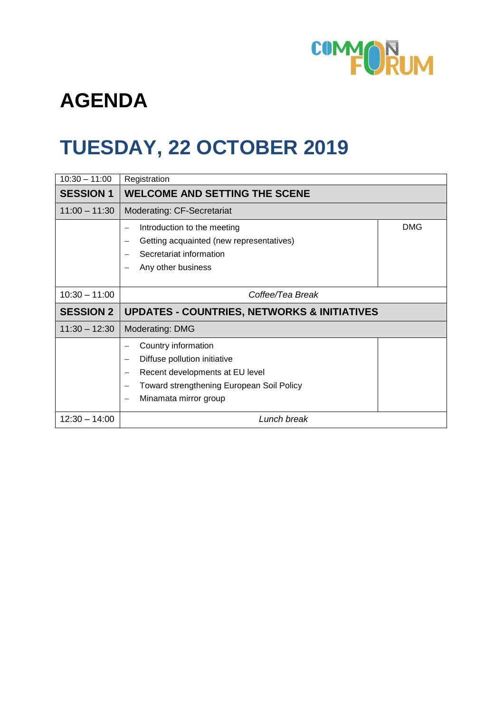

## **AGENDA**

## **TUESDAY, 22 OCTOBER 2019**

| $10:30 - 11:00$  | Registration                                                                                                                                                                                    |            |
|------------------|-------------------------------------------------------------------------------------------------------------------------------------------------------------------------------------------------|------------|
| <b>SESSION 1</b> | <b>WELCOME AND SETTING THE SCENE</b>                                                                                                                                                            |            |
| $11:00 - 11:30$  | Moderating: CF-Secretariat                                                                                                                                                                      |            |
|                  | Introduction to the meeting<br>Getting acquainted (new representatives)<br>Secretariat information<br>Any other business                                                                        | <b>DMG</b> |
| $10:30 - 11:00$  | Coffee/Tea Break                                                                                                                                                                                |            |
| <b>SESSION 2</b> | <b>UPDATES - COUNTRIES, NETWORKS &amp; INITIATIVES</b>                                                                                                                                          |            |
| $11:30 - 12:30$  | Moderating: DMG                                                                                                                                                                                 |            |
|                  | Country information<br>Diffuse pollution initiative<br>Recent developments at EU level<br><b>Toward strengthening European Soil Policy</b><br>Minamata mirror group<br>$\overline{\phantom{0}}$ |            |
| $12:30 - 14:00$  | Lunch break                                                                                                                                                                                     |            |